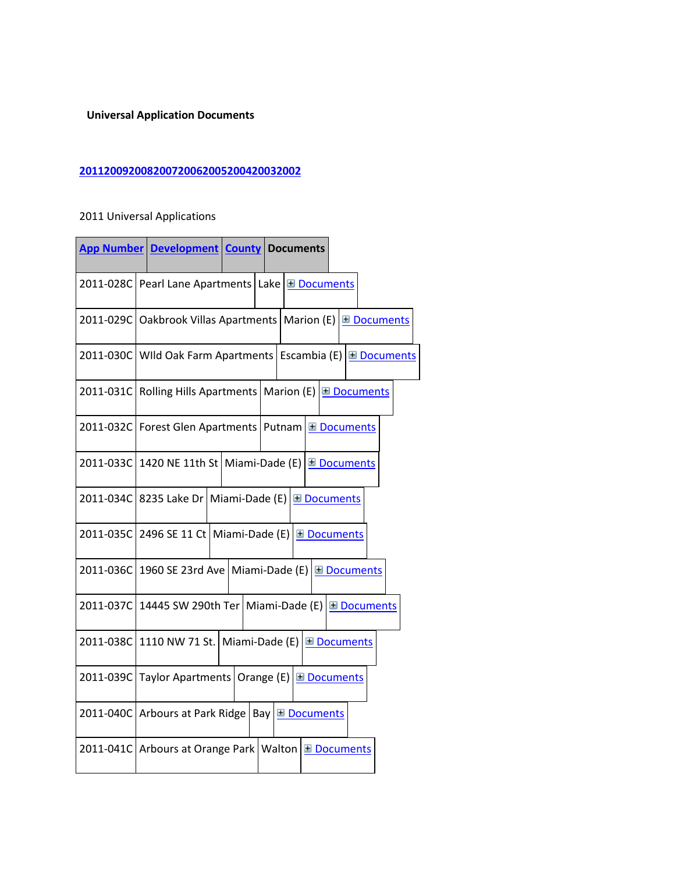## **Universal Application Documents**

## **[2011](javascript:__doPostBack()[2009](javascript:__doPostBack()[2008](javascript:__doPostBack()[2007](javascript:__doPostBack()[2006](javascript:__doPostBack()[2005](javascript:__doPostBack()[2004](javascript:__doPostBack()[2003](javascript:__doPostBack()[2002](javascript:__doPostBack()**

## 2011 Universal Applications

|           | <b>App Number Development County Documents</b>                            |  |
|-----------|---------------------------------------------------------------------------|--|
|           | 2011-028C Pearl Lane Apartments Lake ED Documents                         |  |
|           | 2011-029C Oakbrook Villas Apartments Marion (E) E Documents               |  |
|           | 2011-030C   WIld Oak Farm Apartments   Escambia (E)   <b>El Documents</b> |  |
|           | 2011-031C Rolling Hills Apartments   Marion (E) E Documents               |  |
| 2011-032C | Forest Glen Apartments   Putnam E Documents                               |  |
|           | 2011-033C 1420 NE 11th St   Miami-Dade (E) E Documents                    |  |
|           | 2011-034C 8235 Lake Dr   Miami-Dade (E)   Documents                       |  |
|           | 2011-035C 2496 SE 11 Ct   Miami-Dade (E) E Documents                      |  |
| 2011-036C | 1960 SE 23rd Ave   Miami-Dade (E)   <u>El Documents</u>                   |  |
| 2011-037C | 14445 SW 290th Ter   Miami-Dade (E) $\boxed{\text{H}$ Documents           |  |
| 2011-038C | 1110 NW 71 St. Miami-Dade (E) $\Box$ Documents                            |  |
| 2011-039C | Taylor Apartments   Orange (E) $\boxed{\boxplus}$ Documents               |  |
| 2011-040C | Bay <b>E</b> Documents<br>Arbours at Park Ridge                           |  |
| 2011-041C | Arbours at Orange Park   Walton E Documents                               |  |
|           |                                                                           |  |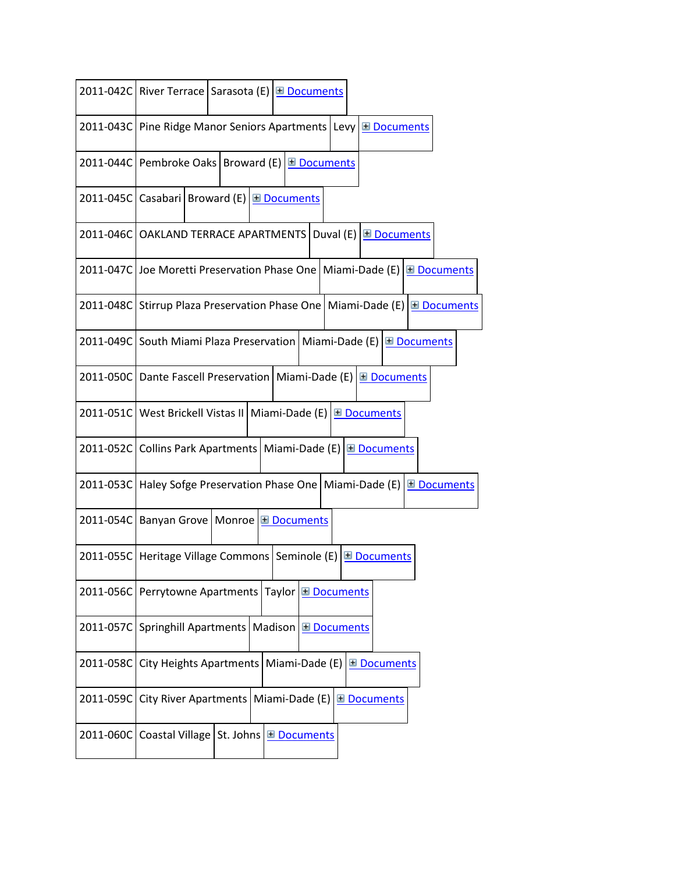|           | 2011-042C River Terrace   Sarasota (E)   <u>El Documents</u>                            |
|-----------|-----------------------------------------------------------------------------------------|
|           | 2011-043C Pine Ridge Manor Seniors Apartments Levy E Documents                          |
|           | 2011-044C Pembroke Oaks   Broward (E) E Documents                                       |
|           | 2011-045C Casabari   Broward (E)   <u>El Documents</u>                                  |
|           | 2011-046C OAKLAND TERRACE APARTMENTS   Duval (E) E Documents                            |
|           | 2011-047C Joe Moretti Preservation Phase One   Miami-Dade (E) E Documents               |
|           | 2011-048C Stirrup Plaza Preservation Phase One   Miami-Dade (E) E Documents             |
|           | 2011-049C South Miami Plaza Preservation   Miami-Dade (E) E Documents                   |
|           | 2011-050C Dante Fascell Preservation   Miami-Dade (E) E Documents                       |
|           | 2011-051C West Brickell Vistas II Miami-Dade (E) E Documents                            |
|           | 2011-052C Collins Park Apartments   Miami-Dade (E) E Documents                          |
|           | 2011-053C   Haley Sofge Preservation Phase One   Miami-Dade (E)  <br><b>⊞</b> Documents |
|           | 2011-054C   Banyan Grove   Monroe   El Documents                                        |
|           | 2011-055C   Heritage Village Commons   Seminole (E)   Documents                         |
|           | 2011-056C Perrytowne Apartments Taylor E Documents                                      |
|           | 2011-057C Springhill Apartments   Madison E Documents                                   |
| 2011-058C | City Heights Apartments<br>Miami-Dade (E)<br><b>El Documents</b>                        |
| 2011-059C | <b>City River Apartments</b><br>Miami-Dade (E)<br><b>⊞</b> Documents                    |
| 2011-060C | Coastal Village   St. Johns<br><b>El Documents</b>                                      |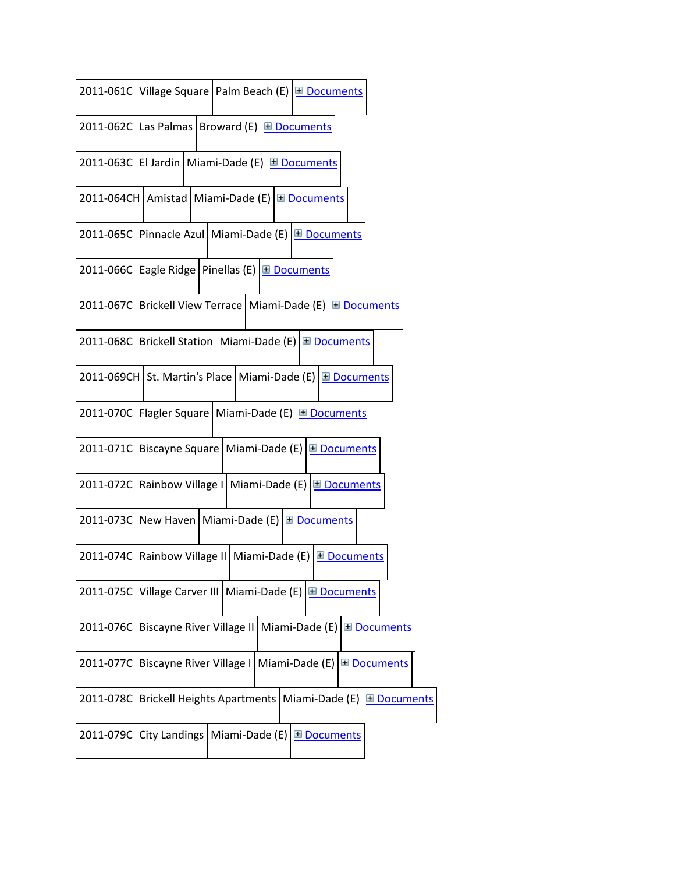|                     | 2011-061C Village Square   Palm Beach (E) E Documents          |                                                               |                     |                     |
|---------------------|----------------------------------------------------------------|---------------------------------------------------------------|---------------------|---------------------|
|                     | 2011-062C Las Palmas   Broward (E) E Documents                 |                                                               |                     |                     |
| 2011-063C El Jardin |                                                                | Miami-Dade (E)                                                | Documents           |                     |
|                     | 2011-064CH   Amistad   Miami-Dade (E)   Documents              |                                                               |                     |                     |
|                     | 2011-065C Pinnacle Azul   Miami-Dade (E) E Documents           |                                                               |                     |                     |
| 2011-066C           |                                                                | Eagle Ridge   Pinellas (E) $\boxed{\boxplus$ Documents        |                     |                     |
|                     | 2011-067C   Brickell View Terrace   Miami-Dade (E) E Documents |                                                               |                     |                     |
|                     | 2011-068C Brickell Station   Miami-Dade (E) E Documents        |                                                               |                     |                     |
|                     | 2011-069CH St. Martin's Place   Miami-Dade (E)   Documents     |                                                               |                     |                     |
| 2011-070C           | Flagler Square   Miami-Dade (E) $\boxed{\equiv}$ Documents     |                                                               |                     |                     |
| 2011-071C           |                                                                | Biscayne Square   Miami-Dade (E)                              | <b>El Documents</b> |                     |
| 2011-072C           |                                                                | Rainbow Village I   Miami-Dade (E)                            | <b>⊞</b> Documents  |                     |
|                     | 2011-073C New Haven   Miami-Dade (E) E Documents               |                                                               |                     |                     |
| 2011-074C           |                                                                | Rainbow Village II   Miami-Dade (E) $\boxed{\equiv$ Documents |                     |                     |
| 2011-075C           | Village Carver III   Miami-Dade (E)                            |                                                               | <b>El Documents</b> |                     |
| 2011-076C           | Biscayne River Village II                                      |                                                               | Miami-Dade (E)      | <b>⊞</b> Documents  |
| 2011-077C           |                                                                | Biscayne River Village I   Miami-Dade (E)                     |                     | <b>El Documents</b> |
| 2011-078C           | <b>Brickell Heights Apartments</b>                             |                                                               | Miami-Dade (E)      | <b>⊞</b> Documents  |
| 2011-079C           | City Landings                                                  | Miami-Dade (E)                                                | <b>El Documents</b> |                     |
|                     |                                                                |                                                               |                     |                     |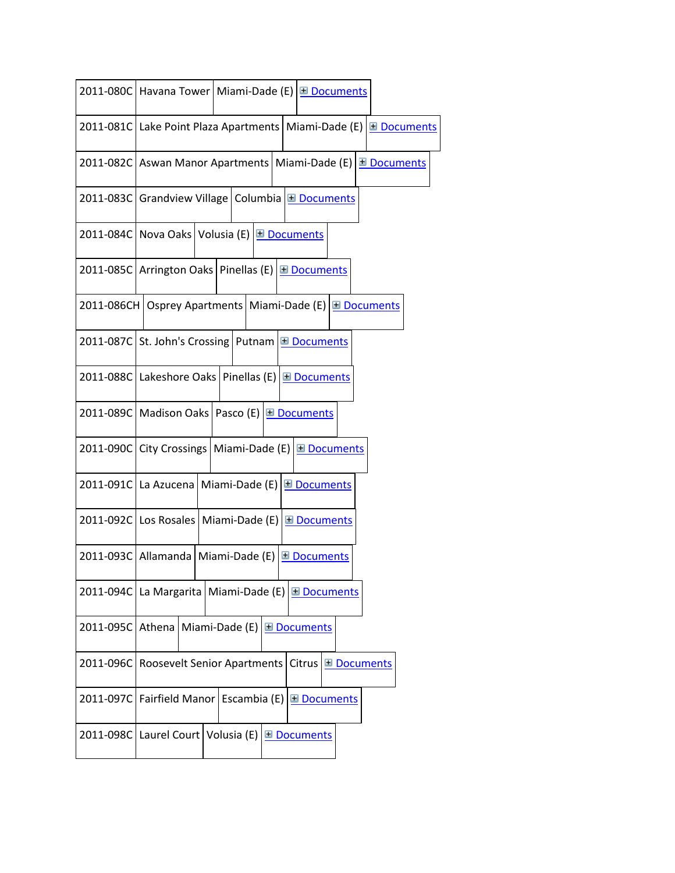|           |                                                                 |                             | 2011-080C Havana Tower   Miami-Dade (E)   El Documents        |                    |
|-----------|-----------------------------------------------------------------|-----------------------------|---------------------------------------------------------------|--------------------|
|           |                                                                 |                             | 2011-081C Lake Point Plaza Apartments Miami-Dade (E)          | <b>⊞</b> Documents |
|           |                                                                 |                             | 2011-082C Aswan Manor Apartments   Miami-Dade (E) E Documents |                    |
|           | 2011-083C Grandview Village   Columbia E Documents              |                             |                                                               |                    |
|           | 2011-084C Nova Oaks Volusia (E) E Documents                     |                             |                                                               |                    |
|           | 2011-085C Arrington Oaks Pinellas (E) E Documents               |                             |                                                               |                    |
|           |                                                                 |                             | 2011-086CH Osprey Apartments Miami-Dade (E) E Documents       |                    |
|           | 2011-087C St. John's Crossing Putnam E Documents                |                             |                                                               |                    |
|           | 2011-088C Lakeshore Oaks   Pinellas (E) E Documents             |                             |                                                               |                    |
|           | 2011-089C   Madison Oaks   Pasco (E) E Documents                |                             |                                                               |                    |
|           |                                                                 |                             | 2011-090C City Crossings   Miami-Dade (E) E Documents         |                    |
|           | 2011-091C La Azucena   Miami-Dade (E)                           |                             | <b>⊞</b> Documents                                            |                    |
|           | 2011-092C Los Rosales Miami-Dade (E)                            |                             | <b>El Documents</b>                                           |                    |
|           | 2011-093C   Allamanda   Miami-Dade (E)   <u>El Documents</u>    |                             |                                                               |                    |
|           | 2011-094C   La Margarita   Miami-Dade (E)   <b>El Documents</b> |                             |                                                               |                    |
|           | 2011-095C Athena Miami-Dade (E) <b>E</b> Documents              |                             |                                                               |                    |
| 2011-096C |                                                                 | Roosevelt Senior Apartments | <b>Citrus</b><br><b>⊞</b> Documents                           |                    |
|           | 2011-097C   Fairfield Manor   Escambia (E) El Documents         |                             |                                                               |                    |
|           | 2011-098C Laurel Court Volusia (E) E Documents                  |                             |                                                               |                    |
|           |                                                                 |                             |                                                               |                    |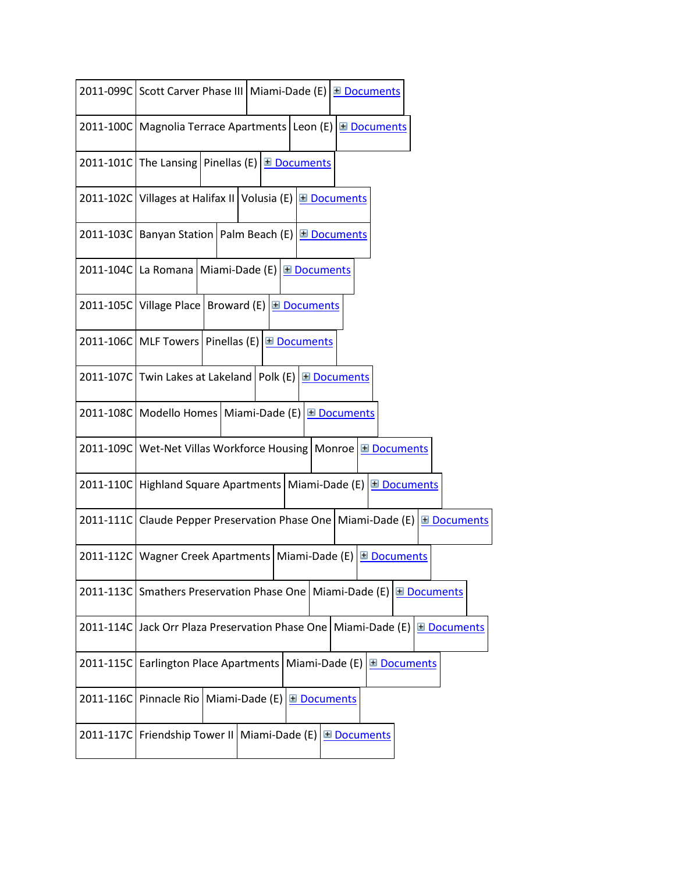|           | 2011-099C Scott Carver Phase III   Miami-Dade (E)   Documents                |
|-----------|------------------------------------------------------------------------------|
|           | 2011-100C   Magnolia Terrace Apartments   Leon (E)  <br><b>E</b> Documents   |
|           | 2011-101C The Lansing Pinellas (E) $\boxed{\text{H}$ Documents               |
|           | 2011-102C Villages at Halifax II Volusia (E) E Documents                     |
|           | 2011-103C   Banyan Station   Palm Beach (E)   <u>El Documents</u>            |
|           | 2011-104C La Romana   Miami-Dade (E) E Documents                             |
|           | 2011-105C Village Place   Broward (E) E Documents                            |
|           | 2011-106C MLF Towers Pinellas (E) E Documents                                |
|           | 2011-107C Twin Lakes at Lakeland   Polk (E) E Documents                      |
|           | 2011-108C   Modello Homes   Miami-Dade (E)   El Documents                    |
|           | 2011-109C   Wet-Net Villas Workforce Housing   Monroe E Documents            |
|           | 2011-110C Highland Square Apartments   Miami-Dade (E) E Documents            |
| 2011-111C | Claude Pepper Preservation Phase One   Miami-Dade (E)<br><b>El</b> Documents |
| 2011-112C | Wagner Creek Apartments   Miami-Dade (E)<br><b>El Documents</b>              |
|           | 2011-113C Smathers Preservation Phase One   Miami-Dade (E) E Documents       |
|           | 2011-114C Jack Orr Plaza Preservation Phase One   Miami-Dade (E) E Documents |
| 2011-115C | Earlington Place Apartments<br>Miami-Dade (E)<br><b>⊞</b> Documents          |
|           | 2011-116C Pinnacle Rio<br>Miami-Dade (E)<br><b>⊞</b> Documents               |
| 2011-117C | Friendship Tower II   Miami-Dade (E) $\boxed{\text{H}$ Documents             |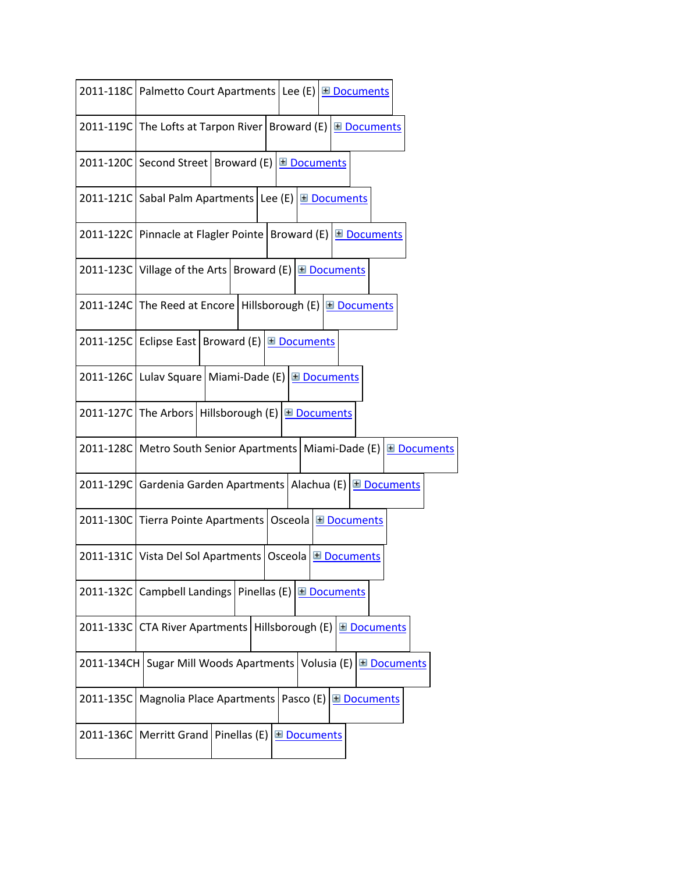|            | 2011-118C   Palmetto Court Apartments   Lee (E) E Documents              |
|------------|--------------------------------------------------------------------------|
|            | 2011-119C The Lofts at Tarpon River Broward (E) E Documents              |
|            | 2011-120C Second Street   Broward (E) E Documents                        |
|            | 2011-121C Sabal Palm Apartments Lee (E) E Documents                      |
|            | 2011-122C   Pinnacle at Flagler Pointe   Broward (E) E Documents         |
|            | 2011-123C Village of the Arts   Broward (E) $\boxed{\boxplus}$ Documents |
|            | 2011-124C The Reed at Encore Hillsborough (E) E Documents                |
|            | 2011-125C Eclipse East Broward (E) E Documents                           |
|            | 2011-126C Lulav Square   Miami-Dade (E) E Documents                      |
|            | 2011-127C The Arbors Hillsborough (E) E Documents                        |
|            | 2011-128C   Metro South Senior Apartments   Miami-Dade (E)   Documents   |
|            | 2011-129C Gardenia Garden Apartments   Alachua (E)   El Documents        |
|            | 2011-130C Tierra Pointe Apartments   Osceola E Documents                 |
|            | 2011-131C Vista Del Sol Apartments   Osceola E Documents                 |
|            | 2011-132C Campbell Landings<br>Pinellas (E)<br><b>El Documents</b>       |
| 2011-133C  | CTA River Apartments   Hillsborough (E) E Documents                      |
| 2011-134CH | Sugar Mill Woods Apartments   Volusia (E) E Documents                    |
| 2011-135C  | Magnolia Place Apartments   Pasco (E)<br><b>⊞</b> Documents              |
|            | Pinellas (E)<br>2011-136C   Merritt Grand  <br><b>E</b> Documents        |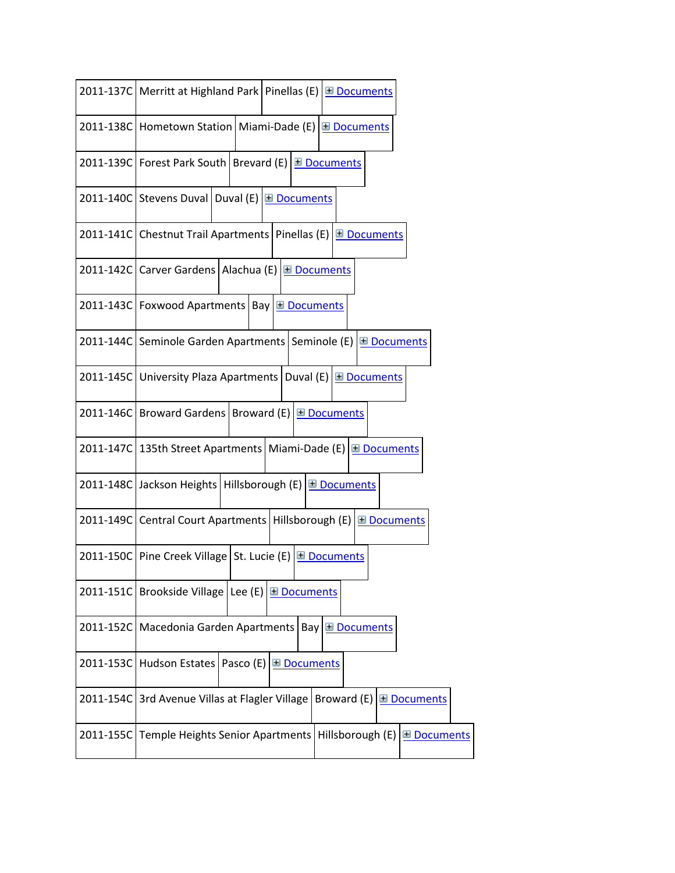|           | 2011-137C   Merritt at Highland Park   Pinellas (E) E Documents                    |
|-----------|------------------------------------------------------------------------------------|
|           | 2011-138C Hometown Station   Miami-Dade (E) E Documents                            |
|           | 2011-139C Forest Park South   Brevard (E) E Documents                              |
|           | 2011-140C Stevens Duval Duval (E) E Documents                                      |
|           | 2011-141C Chestnut Trail Apartments Pinellas (E) <b>E</b> Documents                |
|           | 2011-142C Carver Gardens   Alachua (E) E Documents                                 |
|           | 2011-143C   Foxwood Apartments   Bay E Documents                                   |
|           | 2011-144C Seminole Garden Apartments Seminole (E) E Documents                      |
|           | Duval (E) $\boxed{\text{H}$ Documents<br>2011-145C University Plaza Apartments     |
|           | 2011-146C Broward Gardens   Broward (E) E Documents                                |
|           | 2011-147C 135th Street Apartments Miami-Dade (E) E Documents                       |
|           | 2011-148C Jackson Heights   Hillsborough (E) E Documents                           |
|           | 2011-149C Central Court Apartments   Hillsborough (E) E Documents                  |
|           | 2011-150C Pine Creek Village St. Lucie (E) E Documents                             |
| 2011-151C | Brookside Village   Lee (E) $\boxed{\text{H}$ Documents                            |
| 2011-152C | Macedonia Garden Apartments<br>Bay <b>E</b> Documents                              |
| 2011-153C | Hudson Estates<br>Pasco (E)<br><b>⊞</b> Documents                                  |
| 2011-154C | 3rd Avenue Villas at Flagler Village<br>Broward (E) $\boxed{\boxplus}$ Documents   |
| 2011-155C | Hillsborough (E)<br><b>Temple Heights Senior Apartments</b><br><b>El</b> Documents |
|           |                                                                                    |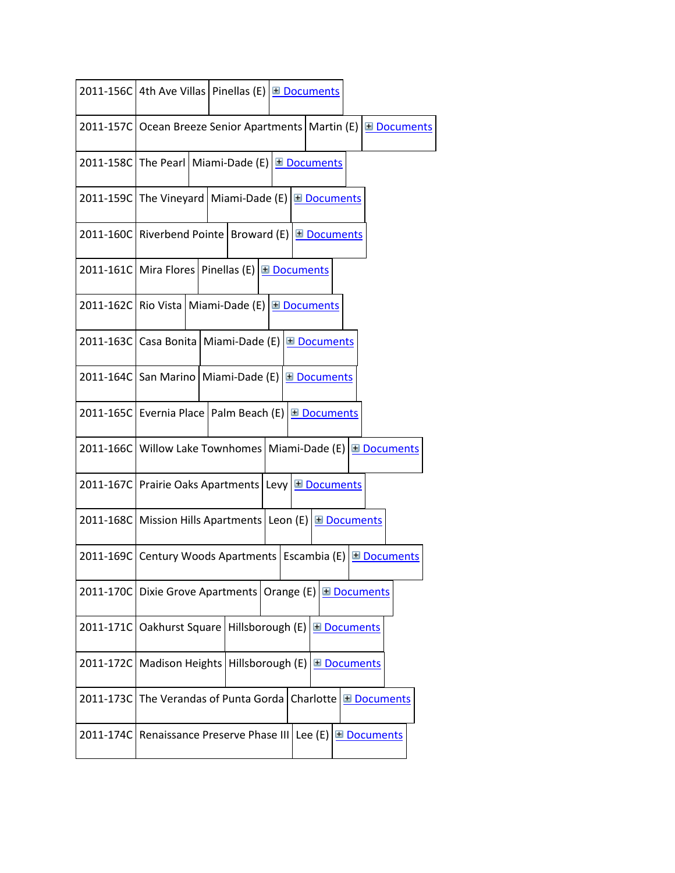|           | 2011-156C 4th Ave Villas   Pinellas (E) E Documents                            |
|-----------|--------------------------------------------------------------------------------|
|           | <b>El</b> Documents<br>2011-157C   Ocean Breeze Senior Apartments   Martin (E) |
|           | 2011-158C The Pearl   Miami-Dade (E) E Documents                               |
|           | 2011-159C The Vineyard   Miami-Dade (E) E Documents                            |
|           | 2011-160C Riverbend Pointe   Broward (E) E Documents                           |
|           | 2011-161C Mira Flores Pinellas (E) <b>Documents</b>                            |
|           | 2011-162C Rio Vista   Miami-Dade (E)   <u>El Documents</u>                     |
|           | 2011-163C Casa Bonita   Miami-Dade (E)   El Documents                          |
|           | 2011-164C San Marino   Miami-Dade (E) E Documents                              |
|           | 2011-165C Evernia Place   Palm Beach (E)   <b>El Documents</b>                 |
|           | 2011-166C Willow Lake Townhomes   Miami-Dade (E) E Documents                   |
|           | 2011-167C Prairie Oaks Apartments Levy E Documents                             |
|           | 2011-168C Mission Hills Apartments Leon (E) E Documents                        |
|           | 2011-169C Century Woods Apartments Escambia (E) E Documents                    |
| 2011-170C | Dixie Grove Apartments   Orange $(E)$ $\Box$ Documents                         |
| 2011-171C | Oakhurst Square   Hillsborough (E)<br><b>□ Documents</b>                       |
| 2011-172C | Madison Heights<br>Hillsborough (E)<br><b>□</b> Documents                      |
| 2011-173C | The Verandas of Punta Gorda<br>Charlotte<br><b>⊞</b> Documents                 |
| 2011-174C | Renaissance Preserve Phase III Lee (E)<br><b>El Documents</b>                  |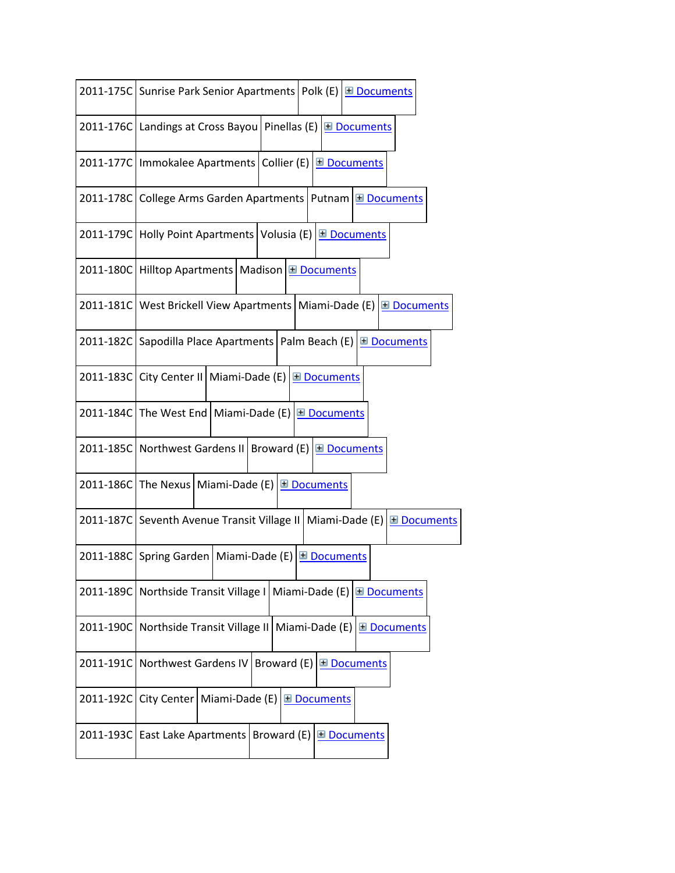|           | 2011-175C Sunrise Park Senior Apartments Polk (E) E Documents                        |
|-----------|--------------------------------------------------------------------------------------|
|           | 2011-176C   Landings at Cross Bayou   Pinellas (E)<br><b>□</b> Documents             |
|           | 2011-177C   Immokalee Apartments   Collier (E)   <u>El Documents</u>                 |
|           | 2011-178C College Arms Garden Apartments   Putnam E Documents                        |
|           | 2011-179C Holly Point Apartments Volusia (E) E Documents                             |
|           | 2011-180C Hilltop Apartments   Madison E Documents                                   |
|           | 2011-181C   West Brickell View Apartments   Miami-Dade (E) E Documents               |
|           | 2011-182C Sapodilla Place Apartments   Palm Beach (E) E Documents                    |
|           | 2011-183C City Center II   Miami-Dade (E) E Documents                                |
|           | 2011-184C The West End   Miami-Dade (E) E Documents                                  |
|           | 2011-185C Northwest Gardens II Broward (E) E Documents                               |
|           | 2011-186C The Nexus   Miami-Dade (E) E Documents                                     |
|           | 2011-187C Seventh Avenue Transit Village II   Miami-Dade (E)  <br><b>E</b> Documents |
|           | 2011-188C Spring Garden   Miami-Dade (E) E Documents                                 |
|           | 2011-189C Northside Transit Village I Miami-Dade (E)<br><b>⊞</b> Documents           |
|           | 2011-190C   Northside Transit Village II   Miami-Dade (E)   El Documents             |
| 2011-191C | Northwest Gardens IV<br>Broward (E)<br><b>E</b> Documents                            |
| 2011-192C | City Center   Miami-Dade (E)<br><b>□</b> Documents                                   |
| 2011-193C | East Lake Apartments   Broward (E)<br><b>El Documents</b>                            |
|           |                                                                                      |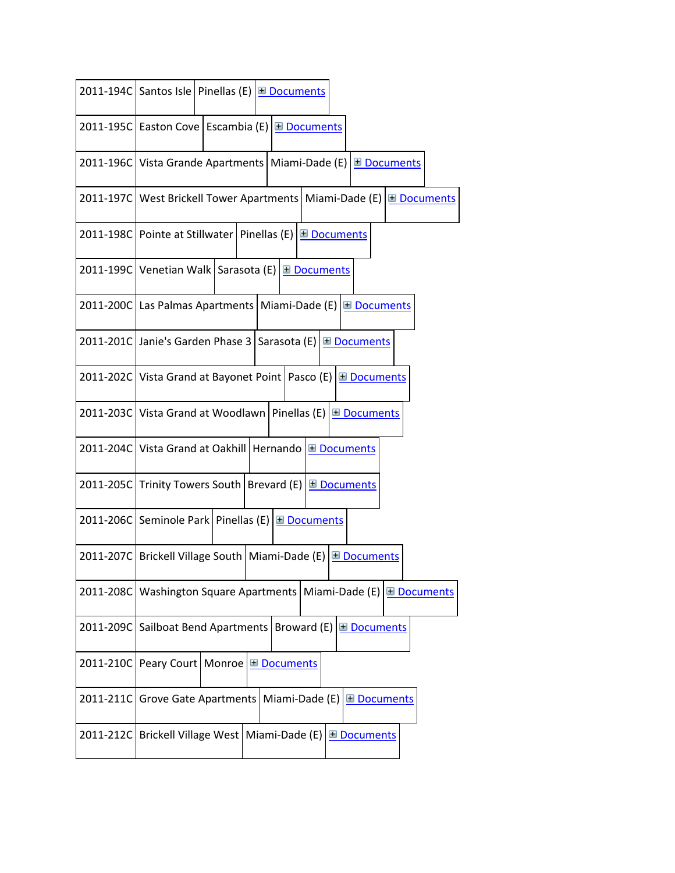|           | 2011-194C Santos Isle   Pinellas (E)   El Documents                        |
|-----------|----------------------------------------------------------------------------|
|           | 2011-195C Easton Cove Escambia (E) E Documents                             |
|           | 2011-196C Vista Grande Apartments   Miami-Dade (E) E Documents             |
|           | 2011-197C   West Brickell Tower Apartments   Miami-Dade (E)   El Documents |
|           | 2011-198C Pointe at Stillwater   Pinellas (E) E Documents                  |
|           | 2011-199C Venetian Walk   Sarasota (E)   El Documents                      |
|           | 2011-200C Las Palmas Apartments   Miami-Dade (E) E Documents               |
|           | 2011-201C Janie's Garden Phase 3   Sarasota (E) E Documents                |
|           | 2011-202C Vista Grand at Bayonet Point   Pasco (E) E Documents             |
|           | 2011-203C Vista Grand at Woodlawn   Pinellas (E) E Documents               |
|           | 2011-204C Vista Grand at Oakhill   Hernando   El Documents                 |
| 2011-205C | Trinity Towers South   Brevard (E) $\Box$ Documents                        |
|           | 2011-206C Seminole Park Pinellas (E) E Documents                           |
|           | 2011-207C Brickell Village South Miami-Dade (E) E Documents                |
|           | 2011-208C   Washington Square Apartments   Miami-Dade (E) E Documents      |
| 2011-209C | Sailboat Bend Apartments   Broward (E) $\boxed{\boxplus$ Documents         |
| 2011-210C | Peary Court   Monroe<br><b>E</b> Documents                                 |
| 2011-211C | Grove Gate Apartments   Miami-Dade (E)<br><b>El Documents</b>              |
| 2011-212C | Brickell Village West   Miami-Dade (E)<br><b>El Documents</b>              |
|           |                                                                            |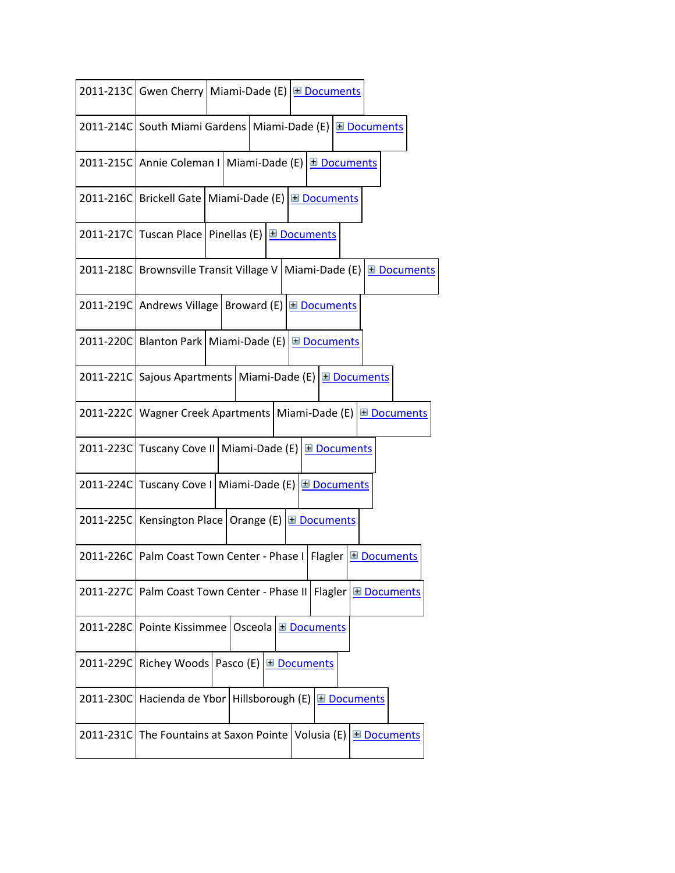|           | 2011-213C Gwen Cherry   Miami-Dade (E) E Documents                              |
|-----------|---------------------------------------------------------------------------------|
|           | 2011-214C   South Miami Gardens   Miami-Dade (E) E Documents                    |
|           | 2011-215C Annie Coleman I   Miami-Dade (E) E Documents                          |
|           | 2011-216C   Brickell Gate   Miami-Dade (E)   El Documents                       |
|           | 2011-217C Tuscan Place Pinellas (E) E Documents                                 |
|           | 2011-218C Brownsville Transit Village V   Miami-Dade (E)   <b>El Documents</b>  |
|           | 2011-219C   Andrews Village   Broward (E) E Documents                           |
|           | 2011-220C   Blanton Park   Miami-Dade (E)   <u>El Documents</u>                 |
|           | 2011-221C Sajous Apartments   Miami-Dade (E) E Documents                        |
|           | 2011-222C   Wagner Creek Apartments   Miami-Dade (E) E Documents                |
|           | 2011-223C Tuscany Cove II Miami-Dade (E) E Documents                            |
| 2011-224C | Tuscany Cove I   Miami-Dade (E)  <br><b>⊞</b> Documents                         |
|           | 2011-225C   Kensington Place   Orange (E) E Documents                           |
|           | 2011-226C   Palm Coast Town Center - Phase I   Flagler   El Documents           |
|           | 2011-227C   Palm Coast Town Center - Phase II   Flagler  <br><b>⊞</b> Documents |
|           | 2011-228C Pointe Kissimmee   Osceola E Documents                                |
| 2011-229C | Richey Woods   Pasco (E)  <br><b>El Documents</b>                               |
|           | 2011-230C Hacienda de Ybor Hillsborough (E) E Documents                         |
| 2011-231C | The Fountains at Saxon Pointe   Volusia (E) $\boxed{\text{H}$ Documents         |